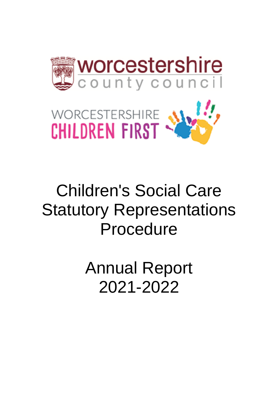



# Children's Social Care Statutory Representations Procedure

Annual Report 2021-2022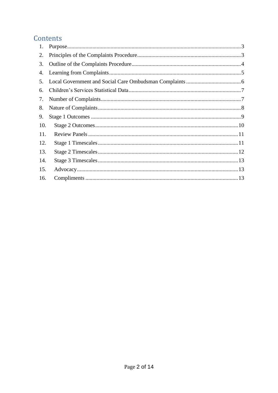# Contents

| 1.  |  |
|-----|--|
| 2.  |  |
| 3.  |  |
| 4.  |  |
| 5.  |  |
| 6.  |  |
| 7.  |  |
| 8.  |  |
| 9.  |  |
| 10. |  |
| 11. |  |
| 12. |  |
| 13. |  |
| 14. |  |
| 15. |  |
| 16. |  |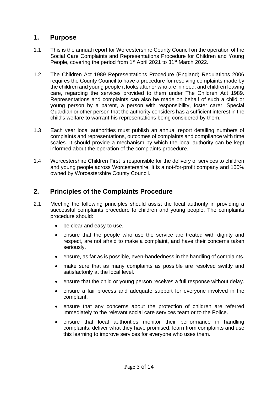#### <span id="page-2-0"></span>**1. Purpose**

- 1.1 This is the annual report for Worcestershire County Council on the operation of the Social Care Complaints and Representations Procedure for Children and Young People, covering the period from 1<sup>st</sup> April 2021 to 31<sup>st</sup> March 2022.
- 1.2 The Children Act 1989 Representations Procedure (England) Regulations 2006 requires the County Council to have a procedure for resolving complaints made by the children and young people it looks after or who are in need, and children leaving care, regarding the services provided to them under The Children Act 1989. Representations and complaints can also be made on behalf of such a child or young person by a parent, a person with responsibility, foster carer, Special Guardian or other person that the authority considers has a sufficient interest in the child's welfare to warrant his representations being considered by them.
- 1.3 Each year local authorities must publish an annual report detailing numbers of complaints and representations, outcomes of complaints and compliance with time scales. It should provide a mechanism by which the local authority can be kept informed about the operation of the complaints procedure.
- 1.4 Worcestershire Children First is responsible for the delivery of services to children and young people across Worcestershire. It is a not-for-profit company and 100% owned by Worcestershire County Council.

#### <span id="page-2-1"></span>**2. Principles of the Complaints Procedure**

- 2.1 Meeting the following principles should assist the local authority in providing a successful complaints procedure to children and young people. The complaints procedure should:
	- be clear and easy to use.
	- • ensure that the people who use the service are treated with dignity and respect, are not afraid to make a complaint, and have their concerns taken seriously.
	- ensure, as far as is possible, even-handedness in the handling of complaints.
	- • make sure that as many complaints as possible are resolved swiftly and satisfactorily at the local level.
	- ensure that the child or young person receives a full response without delay.
	- • ensure a fair process and adequate support for everyone involved in the complaint.
	- • ensure that any concerns about the protection of children are referred immediately to the relevant social care services team or to the Police.
	- • ensure that local authorities monitor their performance in handling complaints, deliver what they have promised, learn from complaints and use this learning to improve services for everyone who uses them.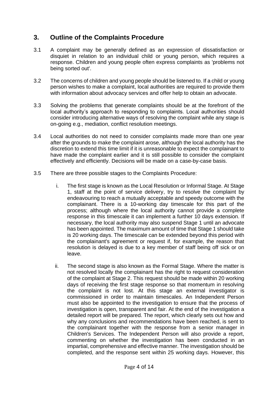# <span id="page-3-0"></span>**3. Outline of the Complaints Procedure**

- 3.1 A complaint may be generally defined as an expression of dissatisfaction or disquiet in relation to an individual child or young person, which requires a response. Children and young people often express complaints as 'problems not being sorted out'.
- 3.2 The concerns of children and young people should be listened to. If a child or young person wishes to make a complaint, local authorities are required to provide them with information about advocacy services and offer help to obtain an advocate.
- 3.3 Solving the problems that generate complaints should be at the forefront of the local authority's approach to responding to complaints. Local authorities should consider introducing alternative ways of resolving the complaint while any stage is on-going e.g., mediation, conflict resolution meetings.
- 3.4 Local authorities do not need to consider complaints made more than one year after the grounds to make the complaint arose, although the local authority has the discretion to extend this time limit if it is unreasonable to expect the complainant to have made the complaint earlier and it is still possible to consider the complaint effectively and efficiently. Decisions will be made on a case-by-case basis.
- 3.5 There are three possible stages to the Complaints Procedure:
	- i. The first stage is known as the Local Resolution or Informal Stage. At Stage 1, staff at the point of service delivery, try to resolve the complaint by endeavouring to reach a mutually acceptable and speedy outcome with the complainant. There is a 10-working day timescale for this part of the process; although where the local authority cannot provide a complete response in this timescale it can implement a further 10 days extension. If necessary, the local authority may also suspend Stage 1 until an advocate has been appointed. The maximum amount of time that Stage 1 should take is 20 working days. The timescale can be extended beyond this period with the complainant's agreement or request if, for example, the reason that resolution is delayed is due to a key member of staff being off sick or on leave.
	- ii. The second stage is also known as the Formal Stage. Where the matter is not resolved locally the complainant has the right to request consideration of the complaint at Stage 2. This request should be made within 20 working days of receiving the first stage response so that momentum in resolving the complaint is not lost. At this stage an external investigator is commissioned in order to maintain timescales. An Independent Person must also be appointed to the investigation to ensure that the process of investigation is open, transparent and fair. At the end of the investigation a detailed report will be prepared. The report, which clearly sets out how and why any conclusions and recommendations have been reached, is sent to the complainant together with the response from a senior manager in Children's Services. The Independent Person will also provide a report, commenting on whether the investigation has been conducted in an impartial, comprehensive and effective manner. The investigation should be completed, and the response sent within 25 working days. However, this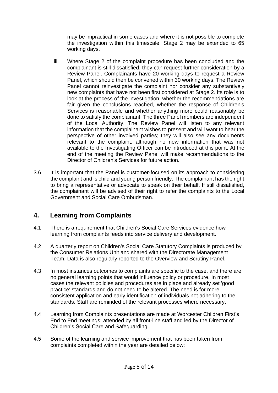may be impractical in some cases and where it is not possible to complete the investigation within this timescale, Stage 2 may be extended to 65 working days.

- iii. Where Stage 2 of the complaint procedure has been concluded and the complainant is still dissatisfied, they can request further consideration by a Review Panel. Complainants have 20 working days to request a Review Panel, which should then be convened within 30 working days. The Review Panel cannot reinvestigate the complaint nor consider any substantively new complaints that have not been first considered at Stage 2. Its role is to look at the process of the investigation, whether the recommendations are fair given the conclusions reached, whether the response of Children's Services is reasonable and whether anything more could reasonably be done to satisfy the complainant. The three Panel members are independent of the Local Authority. The Review Panel will listen to any relevant information that the complainant wishes to present and will want to hear the perspective of other involved parties; they will also see any documents relevant to the complaint, although no new information that was not available to the Investigating Officer can be introduced at this point. At the end of the meeting the Review Panel will make recommendations to the Director of Children's Services for future action.
- 3.6 It is important that the Panel is customer-focused on its approach to considering the complaint and is child and young person friendly. The complainant has the right to bring a representative or advocate to speak on their behalf. If still dissatisfied, the complainant will be advised of their right to refer the complaints to the Local Government and Social Care Ombudsman.

# <span id="page-4-0"></span>**4. Learning from Complaints**

- 4.1 There is a requirement that Children's Social Care Services evidence how learning from complaints feeds into service delivery and development.
- 4.2 A quarterly report on Children's Social Care Statutory Complaints is produced by the Consumer Relations Unit and shared with the Directorate Management Team. Data is also regularly reported to the Overview and Scrutiny Panel.
- 4.3 In most instances outcomes to complaints are specific to the case, and there are no general learning points that would influence policy or procedure. In most cases the relevant policies and procedures are in place and already set 'good practice' standards and do not need to be altered. The need is for more consistent application and early identification of individuals not adhering to the standards. Staff are reminded of the relevant processes where necessary.
- 4.4 Learning from Complaints presentations are made at Worcester Children First's End to End meetings, attended by all front-line staff and led by the Director of Children's Social Care and Safeguarding.
- 4.5 Some of the learning and service improvement that has been taken from complaints completed within the year are detailed below: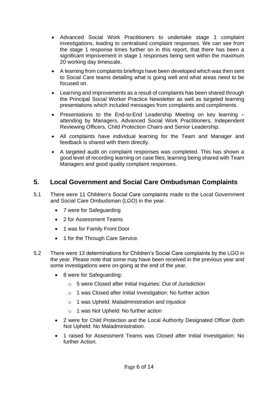- • Advanced Social Work Practitioners to undertake stage 1 complaint investigations, leading to centralised complaint responses. We can see from the stage 1 response times further on in this report, that there has been a significant improvement in stage 1 responses being sent within the maximum 20 working day timescale.
- • A learning from complaints briefings have been developed which was then sent to Social Care teams detailing what is going well and what areas need to be focused on.
- • Learning and improvements as a result of complaints has been shared through the Principal Social Worker Practice Newsletter as well as targeted learning presentations which included messages from complaints and compliments.
- • Presentations to the End-to-End Leadership Meeting on key learning attending by Managers, Advanced Social Work Practitioners, Independent Reviewing Officers, Child Protection Chairs and Senior Leadership.
- • All complaints have individual learning for the Team and Manager and feedback is shared with them directly.
- • A targeted audit on complaint responses was completed. This has shown a good level of recording learning on case files, learning being shared with Team Managers and good quality complaint responses.

# <span id="page-5-0"></span> **5. Local Government and Social Care Ombudsman Complaints**

- 5.1 There were 11 Children's Social Care complaints made to the Local Government and Social Care Ombudsman (LGO) in the year.
	- 7 were for Safeguarding
	- 2 for Assessment Teams
	- 1 was for Family Front Door
	- 1 for the Through Care Service.
- 5.2 There were 13 determinations for Children's Social Care complaints by the LGO in the year. Please note that some may have been received in the previous year and some investigations were on-going at the end of the year.
	- • 8 were for Safeguarding:
		- o 5 were Closed after Initial Inquiries: Out of Jurisdiction
		- o 1 was Closed after Initial Investigation: No further action
		- o 1 was Upheld: Maladministration and Injustice
		- o 1 was Not Upheld: No further action
	- • 2 were for Child Protection and the Local Authority Designated Officer (both Not Upheld: No Maladministration.
	- • 1 raised for Assessment Teams was Closed after Initial Investigation: No further Action.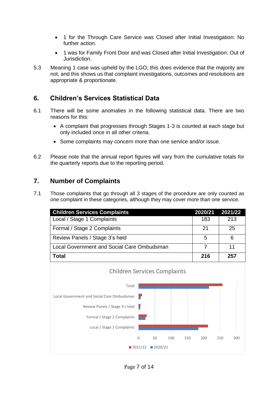- • 1 for the Through Care Service was Closed after Initial Investigation: No further action.
- • 1 was for Family Front Door and was Closed after Initial Investigation: Out of Jurisdiction.
- 5.3 Meaning 1 case was upheld by the LGO; this does evidence that the majority are not, and this shows us that complaint investigations, outcomes and resolutions are appropriate & proportionate.

# <span id="page-6-0"></span> **6. Children's Services Statistical Data**

- 6.1 There will be some anomalies in the following statistical data. There are two reasons for this:
	- • A complaint that progresses through Stages 1-3 is counted at each stage but only included once in all other criteria.
	- Some complaints may concern more than one service and/or issue.
- 6.2 Please note that the annual report figures will vary from the cumulative totals for the quarterly reports due to the reporting period.

# <span id="page-6-1"></span>**7. Number of Complaints**

 7.1 Those complaints that go through all 3 stages of the procedure are only counted as one complaint in these categories, although they may cover more than one service.

| <b>Children Services Complaints</b>        | 2020/21 | 2021/22 |
|--------------------------------------------|---------|---------|
| Local / Stage 1 Complaints                 | 183     | 213     |
| Formal / Stage 2 Complaints                | -21     | 25      |
| Review Panels / Stage 3's held             | 5       | 6       |
| Local Government and Social Care Ombudsman |         | 11      |
| Total                                      | 216     | 257     |

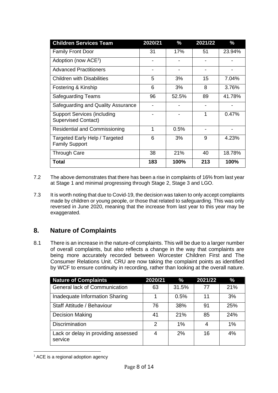| <b>Children Services Team</b>                                    | 2020/21 | %     | 2021/22 | $\%$   |
|------------------------------------------------------------------|---------|-------|---------|--------|
| <b>Family Front Door</b>                                         | 31      | 17%   | 51      | 23.94% |
| Adoption (now ACE <sup>1</sup> )                                 |         |       |         |        |
| <b>Advanced Practitioners</b>                                    |         |       |         |        |
| <b>Children with Disabilities</b>                                | 5       | 3%    | 15      | 7.04%  |
| Fostering & Kinship                                              | 6       | 3%    | 8       | 3.76%  |
| <b>Safeguarding Teams</b>                                        | 96      | 52.5% | 89      | 41.78% |
| Safeguarding and Quality Assurance                               |         |       |         |        |
| <b>Support Services (including</b><br><b>Supervised Contact)</b> |         |       | 1       | 0.47%  |
| <b>Residential and Commissioning</b>                             | 1       | 0.5%  |         |        |
| Targeted Early Help / Targeted<br><b>Family Support</b>          | 6       | 3%    | 9       | 4.23%  |
| <b>Through Care</b>                                              | 38      | 21%   | 40      | 18.78% |
| Total                                                            | 183     | 100%  | 213     | 100%   |

- 7.2 The above demonstrates that there has been a rise in complaints of 16% from last year at Stage 1 and minimal progressing through Stage 2, Stage 3 and LGO.
- 7.3 It is worth noting that due to Covid-19, the decision was taken to only accept complaints reversed in June 2020, meaning that the increase from last year to this year may be made by children or young people, or those that related to safeguarding. This was only exaggerated.

# <span id="page-7-0"></span>**8. Nature of Complaints**

 8.1 There is an increase in the nature-of complaints. This will be due to a larger number of overall complaints, but also reflects a change in the way that complaints are being more accurately recorded between Worcester Children First and The Consumer Relations Unit. CRU are now taking the complaint points as identified by WCF to ensure continuity in recording, rather than looking at the overall nature.

| <b>Nature of Complaints</b>                    | 2020/21 | $\%$  | 2021/22 | $\%$ |
|------------------------------------------------|---------|-------|---------|------|
| General lack of Communication                  | 63      | 31.5% | 77      | 21%  |
| Inadequate Information Sharing                 |         | 0.5%  | 11      | 3%   |
| Staff Attitude / Behaviour                     | 76      | 38%   | 91      | 25%  |
| <b>Decision Making</b>                         | 41      | 21%   | 85      | 24%  |
| <b>Discrimination</b>                          | 2       | $1\%$ | 4       | 1%   |
| Lack or delay in providing assessed<br>service | 4       | 2%    | 16      | 4%   |

 $<sup>1</sup>$  ACE is a regional adoption agency</sup>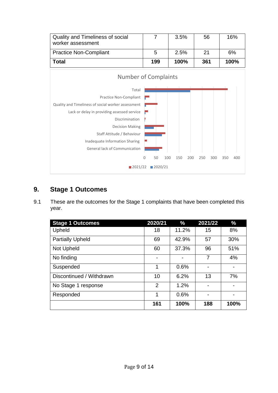

# <span id="page-8-0"></span> **9. Stage 1 Outcomes**

 9.1 These are the outcomes for the Stage 1 complaints that have been completed this year.

| <b>Stage 1 Outcomes</b>  | 2020/21        | %     | 2021/22        | $\%$ |
|--------------------------|----------------|-------|----------------|------|
| Upheld                   | 18             | 11.2% | 15             | 8%   |
| <b>Partially Upheld</b>  | 69             | 42.9% | 57             | 30%  |
| Not Upheld               | 60             | 37.3% | 96             | 51%  |
| No finding               |                |       | $\overline{7}$ | 4%   |
| Suspended                | 1              | 0.6%  |                |      |
| Discontinued / Withdrawn | 10             | 6.2%  | 13             | 7%   |
| No Stage 1 response      | $\overline{2}$ | 1.2%  |                |      |
| Responded                | 1              | 0.6%  |                |      |
|                          | 161            | 100%  | 188            | 100% |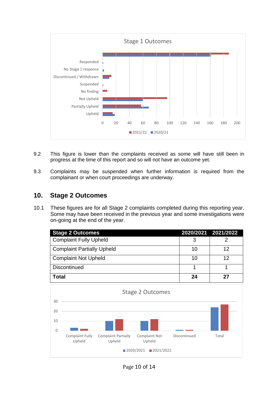

- 9.2 This figure is lower than the complaints received as some will have still been in progress at the time of this report and so will not have an outcome yet.
- 9.3 Complaints may be suspended when further information is required from the complainant or when court proceedings are underway.

#### <span id="page-9-0"></span> **10. Stage 2 Outcomes**

 10.1 These figures are for all Stage 2 complaints completed during this reporting year. Some may have been received in the previous year and some investigations were on-going at the end of the year.

| <b>Stage 2 Outcomes</b>                                                                      | 2020/2021 2021/2022 |       |
|----------------------------------------------------------------------------------------------|---------------------|-------|
| <b>Complaint Fully Upheld</b>                                                                | 3                   | 2     |
| <b>Complaint Partially Upheld</b>                                                            | 10                  | 12    |
| <b>Complaint Not Upheld</b>                                                                  | 10                  | 12    |
| <b>Discontinued</b>                                                                          | 1                   | 1     |
| <b>Total</b>                                                                                 | 24                  | 27    |
| <b>Stage 2 Outcomes</b><br>30                                                                |                     |       |
| 20                                                                                           |                     |       |
| 10<br>$\Omega$                                                                               |                     |       |
| <b>Complaint Partially</b><br>Complaint Fully<br>Complaint Not<br>Upheld<br>Upheld<br>Upheld | Discontinued        | Total |
| 2020/2021<br>■ 2021/2022                                                                     |                     |       |

Page 10 of 14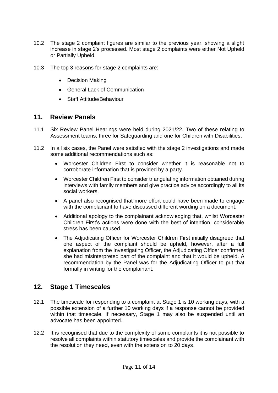- 10.2 The stage 2 complaint figures are similar to the previous year, showing a slight increase in stage 2's processed. Most stage 2 complaints were either Not Upheld or Partially Upheld.
- 10.3 The top 3 reasons for stage 2 complaints are:
	- Decision Making
	- General Lack of Communication
	- Staff Attitude/Behaviour

#### <span id="page-10-0"></span>**11. Review Panels**

- 11.1 Six Review Panel Hearings were held during 2021/22. Two of these relating to Assessment teams, three for Safeguarding and one for Children with Disabilities.
- 11.2 In all six cases, the Panel were satisfied with the stage 2 investigations and made some additional recommendations such as:
	- • Worcester Children First to consider whether it is reasonable not to corroborate information that is provided by a party.
	- • Worcester Children First to consider triangulating information obtained during interviews with family members and give practice advice accordingly to all its social workers.
	- • A panel also recognised that more effort could have been made to engage with the complainant to have discussed different wording on a document.
	- • Additional apology to the complainant acknowledging that, whilst Worcester Children First's actions were done with the best of intention, considerable stress has been caused.
	- • The Adjudicating Officer for Worcester Children First initially disagreed that one aspect of the complaint should be upheld, however, after a full explanation from the Investigating Officer, the Adjudicating Officer confirmed she had misinterpreted part of the complaint and that it would be upheld. A recommendation by the Panel was for the Adjudicating Officer to put that formally in writing for the complainant.

# <span id="page-10-1"></span>**12. Stage 1 Timescales**

- 12.1 The timescale for responding to a complaint at Stage 1 is 10 working days, with a possible extension of a further 10 working days if a response cannot be provided within that timescale. If necessary, Stage 1 may also be suspended until an advocate has been appointed.
- 12.2 It is recognised that due to the complexity of some complaints it is not possible to resolve all complaints within statutory timescales and provide the complainant with the resolution they need, even with the extension to 20 days.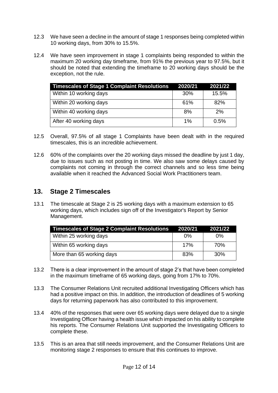- 12.3 We have seen a decline in the amount of stage 1 responses being completed within 10 working days, from 30% to 15.5%.
- 12.4 We have seen improvement in stage 1 complaints being responded to within the maximum 20 working day timeframe, from 91% the previous year to 97.5%, but it should be noted that extending the timeframe to 20 working days should be the exception, not the rule.

| <b>Timescales of Stage 1 Complaint Resolutions</b> | 2020/21 | 2021/22 |
|----------------------------------------------------|---------|---------|
| Within 10 working days                             | 30%     | 15.5%   |
| Within 20 working days                             | 61%     | 82%     |
| Within 40 working days                             | 8%      | 2%      |
| After 40 working days                              | $1\%$   | 0.5%    |

- 12.5 Overall, 97.5% of all stage 1 Complaints have been dealt with in the required timescales, this is an incredible achievement.
- 12.6 60% of the complaints over the 20 working days missed the deadline by just 1 day, due to issues such as not posting in time. We also saw some delays caused by complaints not coming in through the correct channels and so less time being available when it reached the Advanced Social Work Practitioners team.

#### <span id="page-11-0"></span>**13. Stage 2 Timescales**

 13.1 The timescale at Stage 2 is 25 working days with a maximum extension to 65 working days, which includes sign off of the Investigator's Report by Senior Management.

| <b>Timescales of Stage 2 Complaint Resolutions</b> | 2020/21 | 2021/22         |
|----------------------------------------------------|---------|-----------------|
| Within 25 working days                             | በ%      | 0%              |
| Within 65 working days                             | 17%     | 70%             |
| More than 65 working days                          | 83%     | 30 <sup>%</sup> |

- 13.2 There is a clear improvement in the amount of stage 2's that have been completed in the maximum timeframe of 65 working days, going from 17% to 70%.
- 13.3 The Consumer Relations Unit recruited additional Investigating Officers which has had a positive impact on this. In addition, the introduction of deadlines of 5 working days for returning paperwork has also contributed to this improvement.
- 13.4 40% of the responses that were over 65 working days were delayed due to a single Investigating Officer having a health issue which impacted on his ability to complete his reports. The Consumer Relations Unit supported the Investigating Officers to complete these.
- 13.5 This is an area that still needs improvement, and the Consumer Relations Unit are monitoring stage 2 responses to ensure that this continues to improve.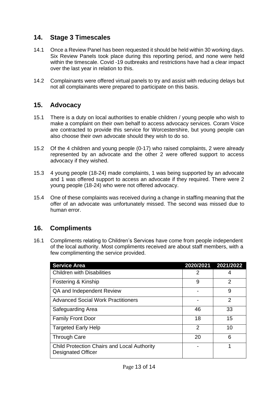## <span id="page-12-0"></span>**14. Stage 3 Timescales**

- 14.1 Once a Review Panel has been requested it should be held within 30 working days. Six Review Panels took place during this reporting period, and none were held within the timescale. Covid -19 outbreaks and restrictions have had a clear impact over the last year in relation to this.
- 14.2 Complainants were offered virtual panels to try and assist with reducing delays but not all complainants were prepared to participate on this basis.

#### <span id="page-12-1"></span>**15. Advocacy**

- 15.1 There is a duty on local authorities to enable children / young people who wish to make a complaint on their own behalf to access advocacy services. Coram Voice are contracted to provide this service for Worcestershire, but young people can also choose their own advocate should they wish to do so.
- 15.2 Of the 4 children and young people (0-17) who raised complaints, 2 were already represented by an advocate and the other 2 were offered support to access advocacy if they wished.
- 15.3 4 young people (18-24) made complaints, 1 was being supported by an advocate and 1 was offered support to access an advocate if they required. There were 2 young people (18-24) who were not offered advocacy.
- 15.4 One of these complaints was received during a change in staffing meaning that the offer of an advocate was unfortunately missed. The second was missed due to human error.

# <span id="page-12-2"></span>**16. Compliments**

 16.1 Compliments relating to Children's Services have come from people independent of the local authority. Most compliments received are about staff members, with a few complimenting the service provided.

| <b>Service Area</b>                                                      |                | 2020/2021 2021/2022 |
|--------------------------------------------------------------------------|----------------|---------------------|
| <b>Children with Disabilities</b>                                        | 2              | 4                   |
| Fostering & Kinship                                                      | 9              | 2                   |
| QA and Independent Review                                                |                | 9                   |
| <b>Advanced Social Work Practitioners</b>                                |                | $\overline{2}$      |
| Safeguarding Area                                                        | 46             | 33                  |
| <b>Family Front Door</b>                                                 | 18             | 15                  |
| <b>Targeted Early Help</b>                                               | $\overline{2}$ | 10                  |
| <b>Through Care</b>                                                      | 20             | 6                   |
| Child Protection Chairs and Local Authority<br><b>Designated Officer</b> |                |                     |